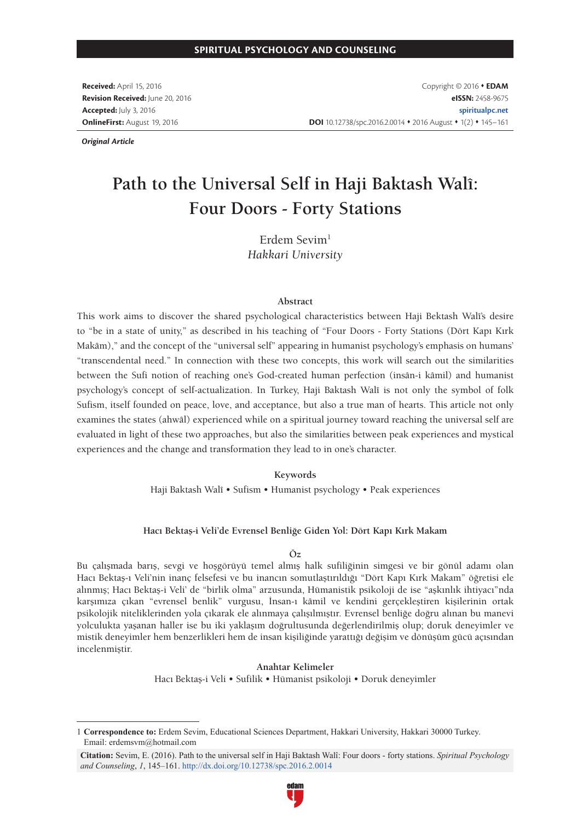**Received:** April 15, 2016 **Revision Received:** June 20, 2016 **Accepted:** July 3, 2016 **OnlineFirst:** August 19, 2016

Copyright © 2016 **EDAM eISSN:** 2458-9675 **spiritualpc.net** DOI 10.12738/spc.2016.2.0014 **+** 2016 August **+** 1(2) **+** 145-161

*Original Article*

# **Path to the Universal Self in Haji Baktash Walî: Four Doors - Forty Stations**

Erdem Sevim1 *Hakkari University*

#### **Abstract**

This work aims to discover the shared psychological characteristics between Haji Bektash Walî's desire to "be in a state of unity," as described in his teaching of "Four Doors - Forty Stations (Dört Kapı Kırk Makâm)," and the concept of the "universal self" appearing in humanist psychology's emphasis on humans' "transcendental need." In connection with these two concepts, this work will search out the similarities between the Sufi notion of reaching one's God-created human perfection (insân-i kâmil) and humanist psychology's concept of self-actualization. In Turkey, Haji Baktash Walî is not only the symbol of folk Sufism, itself founded on peace, love, and acceptance, but also a true man of hearts. This article not only examines the states (ahwâl) experienced while on a spiritual journey toward reaching the universal self are evaluated in light of these two approaches, but also the similarities between peak experiences and mystical experiences and the change and transformation they lead to in one's character.

#### **Keywords**

Haji Baktash Walî • Sufism • Humanist psychology • Peak experiences

#### **Hacı Bektaş-i Veli'de Evrensel Benliğe Giden Yol: Dört Kapı Kırk Makam**

#### **Öz**

Bu çalışmada barış, sevgi ve hoşgörüyü temel almış halk sufiliğinin simgesi ve bir gönül adamı olan Hacı Bektaş-ı Veli'nin inanç felsefesi ve bu inancın somutlaştırıldığı "Dört Kapı Kırk Makam" öğretisi ele alınmış; Hacı Bektaş-i Veli' de "birlik olma" arzusunda, Hümanistik psikoloji de ise "aşkınlık ihtiyacı"nda karşımıza çıkan "evrensel benlik" vurgusu, İnsan-ı kâmil ve kendini gerçekleştiren kişilerinin ortak psikolojik niteliklerinden yola çıkarak ele alınmaya çalışılmıştır. Evrensel benliğe doğru alınan bu manevi yolculukta yaşanan haller ise bu iki yaklaşım doğrultusunda değerlendirilmiş olup; doruk deneyimler ve mistik deneyimler hem benzerlikleri hem de insan kişiliğinde yarattığı değişim ve dönüşüm gücü açısından incelenmiştir.

> **Anahtar Kelimeler** Hacı Bektaş-i Veli • Sufilik • Hümanist psikoloji • Doruk deneyimler

**Citation:** Sevim, E. (2016). Path to the universal self in Haji Baktash Walî: Four doors - forty stations. *Spiritual Psychology and Counseling*, *1*, 145‒161. http://dx.doi.org/10.12738/spc.2016.2.0014



<sup>1</sup> **Correspondence to:** Erdem Sevim, Educational Sciences Department, Hakkari University, Hakkari 30000 Turkey. Email: erdemsvm@hotmail.com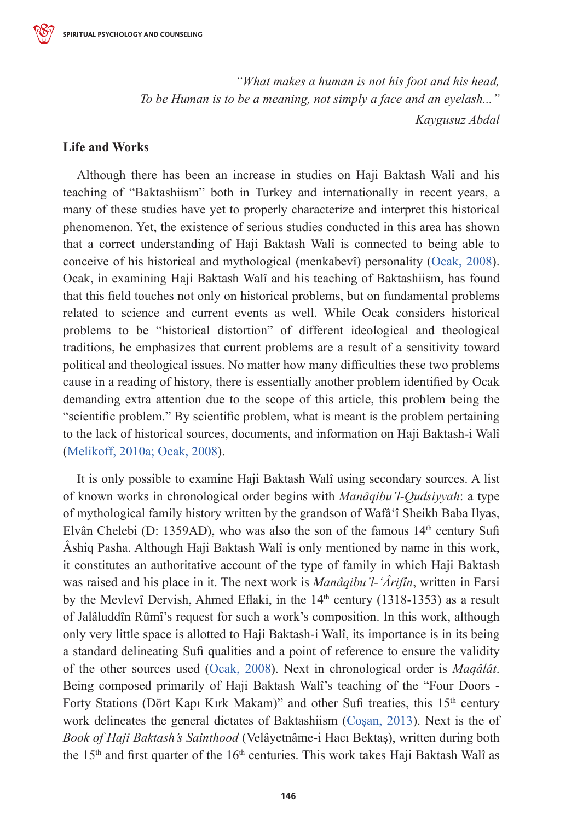

*"What makes a human is not his foot and his head, To be Human is to be a meaning, not simply a face and an eyelash..." Kaygusuz Abdal*

### **Life and Works**

Although there has been an increase in studies on Haji Baktash Walî and his teaching of "Baktashiism" both in Turkey and internationally in recent years, a many of these studies have yet to properly characterize and interpret this historical phenomenon. Yet, the existence of serious studies conducted in this area has shown that a correct understanding of Haji Baktash Walî is connected to being able to conceive of his historical and mythological (menkabevî) personality (Ocak, 2008). Ocak, in examining Haji Baktash Walî and his teaching of Baktashiism, has found that this field touches not only on historical problems, but on fundamental problems related to science and current events as well. While Ocak considers historical problems to be "historical distortion" of different ideological and theological traditions, he emphasizes that current problems are a result of a sensitivity toward political and theological issues. No matter how many difficulties these two problems cause in a reading of history, there is essentially another problem identified by Ocak demanding extra attention due to the scope of this article, this problem being the "scientific problem." By scientific problem, what is meant is the problem pertaining to the lack of historical sources, documents, and information on Haji Baktash-i Walî (Melikoff, 2010a; Ocak, 2008).

It is only possible to examine Haji Baktash Walî using secondary sources. A list of known works in chronological order begins with *Manâqibu'l-Qudsiyyah*: a type of mythological family history written by the grandson of Wafâʻî Sheikh Baba Ilyas, Elvân Chelebi (D: 1359AD), who was also the son of the famous  $14<sup>th</sup>$  century Sufi Âshiq Pasha. Although Haji Baktash Walî is only mentioned by name in this work, it constitutes an authoritative account of the type of family in which Haji Baktash was raised and his place in it. The next work is *Manâqibu'l-'Ârifîn*, written in Farsi by the Mevlevî Dervish, Ahmed Eflaki, in the  $14<sup>th</sup>$  century (1318-1353) as a result of Jalâluddîn Rûmî's request for such a work's composition. In this work, although only very little space is allotted to Haji Baktash-i Walî, its importance is in its being a standard delineating Sufi qualities and a point of reference to ensure the validity of the other sources used (Ocak, 2008). Next in chronological order is *Maqâlât*. Being composed primarily of Haji Baktash Walî's teaching of the "Four Doors - Forty Stations (Dört Kapı Kırk Makam)" and other Sufi treaties, this 15<sup>th</sup> century work delineates the general dictates of Baktashiism (Coşan, 2013). Next is the of *Book of Haji Baktash's Sainthood* (Velâyetnâme-i Hacı Bektaş), written during both the  $15<sup>th</sup>$  and first quarter of the  $16<sup>th</sup>$  centuries. This work takes Haji Baktash Walî as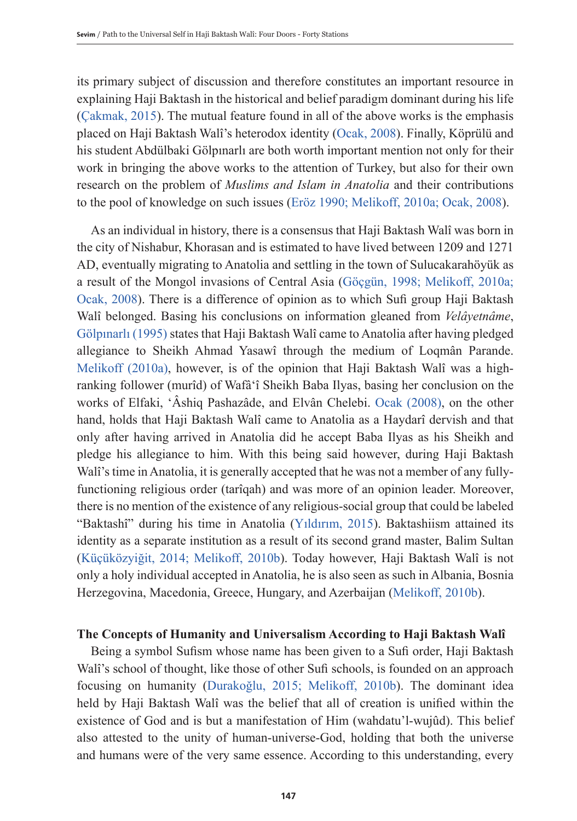its primary subject of discussion and therefore constitutes an important resource in explaining Haji Baktash in the historical and belief paradigm dominant during his life (Çakmak, 2015). The mutual feature found in all of the above works is the emphasis placed on Haji Baktash Walî's heterodox identity (Ocak, 2008). Finally, Köprülü and his student Abdülbaki Gölpınarlı are both worth important mention not only for their work in bringing the above works to the attention of Turkey, but also for their own research on the problem of *Muslims and Islam in Anatolia* and their contributions to the pool of knowledge on such issues (Eröz 1990; Melikoff, 2010a; Ocak, 2008).

As an individual in history, there is a consensus that Haji Baktash Walî was born in the city of Nishabur, Khorasan and is estimated to have lived between 1209 and 1271 AD, eventually migrating to Anatolia and settling in the town of Sulucakarahöyük as a result of the Mongol invasions of Central Asia (Göçgün, 1998; Melikoff, 2010a; Ocak, 2008). There is a difference of opinion as to which Sufi group Haji Baktash Walî belonged. Basing his conclusions on information gleaned from *Velâyetnâme*, Gölpınarlı (1995) states that Haji Baktash Walî came to Anatolia after having pledged allegiance to Sheikh Ahmad Yasawî through the medium of Loqmân Parande. Melikoff (2010a), however, is of the opinion that Haji Baktash Walî was a highranking follower (murîd) of Wafâʻî Sheikh Baba Ilyas, basing her conclusion on the works of Elfaki, 'Âshiq Pashazâde, and Elvân Chelebi. Ocak (2008), on the other hand, holds that Haji Baktash Walî came to Anatolia as a Haydarî dervish and that only after having arrived in Anatolia did he accept Baba Ilyas as his Sheikh and pledge his allegiance to him. With this being said however, during Haji Baktash Walî's time in Anatolia, it is generally accepted that he was not a member of any fullyfunctioning religious order (tarîqah) and was more of an opinion leader. Moreover, there is no mention of the existence of any religious-social group that could be labeled "Baktashî" during his time in Anatolia (Yıldırım, 2015). Baktashiism attained its identity as a separate institution as a result of its second grand master, Balim Sultan (Küçüközyiğit, 2014; Melikoff, 2010b). Today however, Haji Baktash Walî is not only a holy individual accepted in Anatolia, he is also seen as such in Albania, Bosnia Herzegovina, Macedonia, Greece, Hungary, and Azerbaijan (Melikoff, 2010b).

### **The Concepts of Humanity and Universalism According to Haji Baktash Walî**

Being a symbol Sufism whose name has been given to a Sufi order, Haji Baktash Walî's school of thought, like those of other Sufi schools, is founded on an approach focusing on humanity (Durakoğlu, 2015; Melikoff, 2010b). The dominant idea held by Haji Baktash Walî was the belief that all of creation is unified within the existence of God and is but a manifestation of Him (wahdatu'l-wujûd). This belief also attested to the unity of human-universe-God, holding that both the universe and humans were of the very same essence. According to this understanding, every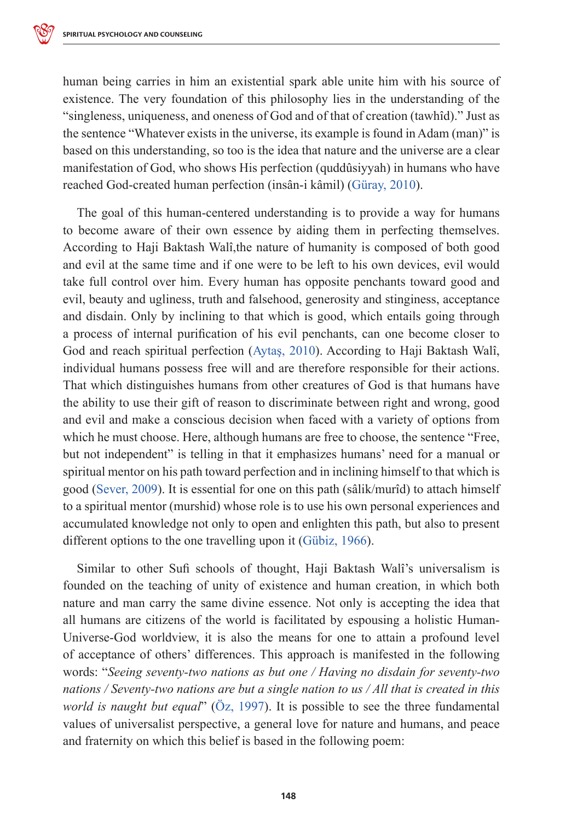human being carries in him an existential spark able unite him with his source of existence. The very foundation of this philosophy lies in the understanding of the "singleness, uniqueness, and oneness of God and of that of creation (tawhîd)." Just as the sentence "Whatever exists in the universe, its example is found in Adam (man)" is based on this understanding, so too is the idea that nature and the universe are a clear manifestation of God, who shows His perfection (quddûsiyyah) in humans who have reached God-created human perfection (insân-i kâmil) (Güray, 2010).

The goal of this human-centered understanding is to provide a way for humans to become aware of their own essence by aiding them in perfecting themselves. According to Haji Baktash Walî,the nature of humanity is composed of both good and evil at the same time and if one were to be left to his own devices, evil would take full control over him. Every human has opposite penchants toward good and evil, beauty and ugliness, truth and falsehood, generosity and stinginess, acceptance and disdain. Only by inclining to that which is good, which entails going through a process of internal purification of his evil penchants, can one become closer to God and reach spiritual perfection (Aytaş, 2010). According to Haji Baktash Walî, individual humans possess free will and are therefore responsible for their actions. That which distinguishes humans from other creatures of God is that humans have the ability to use their gift of reason to discriminate between right and wrong, good and evil and make a conscious decision when faced with a variety of options from which he must choose. Here, although humans are free to choose, the sentence "Free, but not independent" is telling in that it emphasizes humans' need for a manual or spiritual mentor on his path toward perfection and in inclining himself to that which is good (Sever, 2009). It is essential for one on this path (sâlik/murîd) to attach himself to a spiritual mentor (murshid) whose role is to use his own personal experiences and accumulated knowledge not only to open and enlighten this path, but also to present different options to the one travelling upon it (Gübiz, 1966).

Similar to other Sufi schools of thought, Haji Baktash Walî's universalism is founded on the teaching of unity of existence and human creation, in which both nature and man carry the same divine essence. Not only is accepting the idea that all humans are citizens of the world is facilitated by espousing a holistic Human-Universe-God worldview, it is also the means for one to attain a profound level of acceptance of others' differences. This approach is manifested in the following words: "*Seeing seventy-two nations as but one / Having no disdain for seventy-two nations / Seventy-two nations are but a single nation to us / All that is created in this world is naught but equal*" (Öz, 1997). It is possible to see the three fundamental values of universalist perspective, a general love for nature and humans, and peace and fraternity on which this belief is based in the following poem: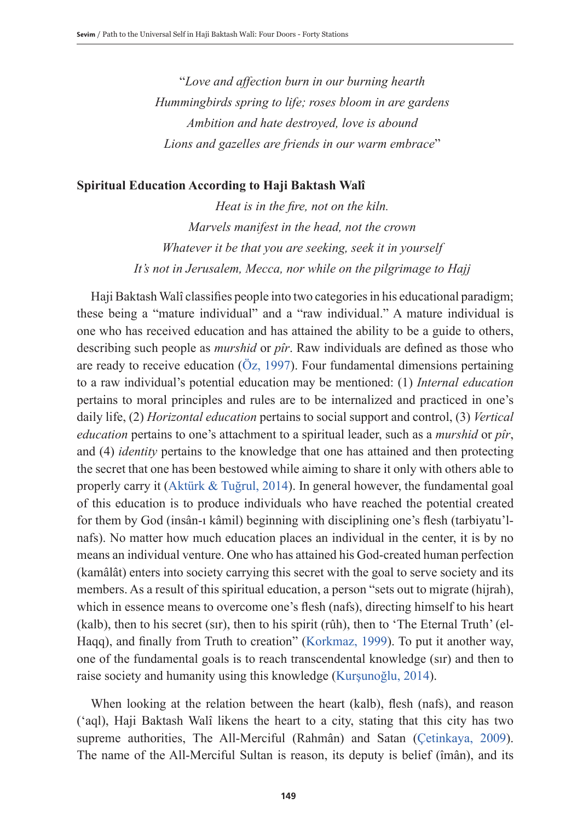"*Love and affection burn in our burning hearth Hummingbirds spring to life; roses bloom in are gardens Ambition and hate destroyed, love is abound Lions and gazelles are friends in our warm embrace*"

### **Spiritual Education According to Haji Baktash Walî**

*Heat is in the fire, not on the kiln. Marvels manifest in the head, not the crown Whatever it be that you are seeking, seek it in yourself It's not in Jerusalem, Mecca, nor while on the pilgrimage to Hajj*

Haji Baktash Walî classifies people into two categories in his educational paradigm; these being a "mature individual" and a "raw individual." A mature individual is one who has received education and has attained the ability to be a guide to others, describing such people as *murshid* or *pîr*. Raw individuals are defined as those who are ready to receive education (Öz, 1997). Four fundamental dimensions pertaining to a raw individual's potential education may be mentioned: (1) *Internal education* pertains to moral principles and rules are to be internalized and practiced in one's daily life, (2) *Horizontal education* pertains to social support and control, (3) *Vertical education* pertains to one's attachment to a spiritual leader, such as a *murshid* or *pîr*, and (4) *identity* pertains to the knowledge that one has attained and then protecting the secret that one has been bestowed while aiming to share it only with others able to properly carry it (Aktürk & Tuğrul, 2014). In general however, the fundamental goal of this education is to produce individuals who have reached the potential created for them by God (insân-ı kâmil) beginning with disciplining one's flesh (tarbiyatu'lnafs). No matter how much education places an individual in the center, it is by no means an individual venture. One who has attained his God-created human perfection (kamâlât) enters into society carrying this secret with the goal to serve society and its members. As a result of this spiritual education, a person "sets out to migrate (hijrah), which in essence means to overcome one's flesh (nafs), directing himself to his heart (kalb), then to his secret (sır), then to his spirit (rûh), then to 'The Eternal Truth' (el-Haqq), and finally from Truth to creation" (Korkmaz, 1999). To put it another way, one of the fundamental goals is to reach transcendental knowledge (sır) and then to raise society and humanity using this knowledge (Kurşunoğlu, 2014).

When looking at the relation between the heart (kalb), flesh (nafs), and reason ('aql), Haji Baktash Walî likens the heart to a city, stating that this city has two supreme authorities, The All-Merciful (Rahmân) and Satan (Çetinkaya, 2009). The name of the All-Merciful Sultan is reason, its deputy is belief (îmân), and its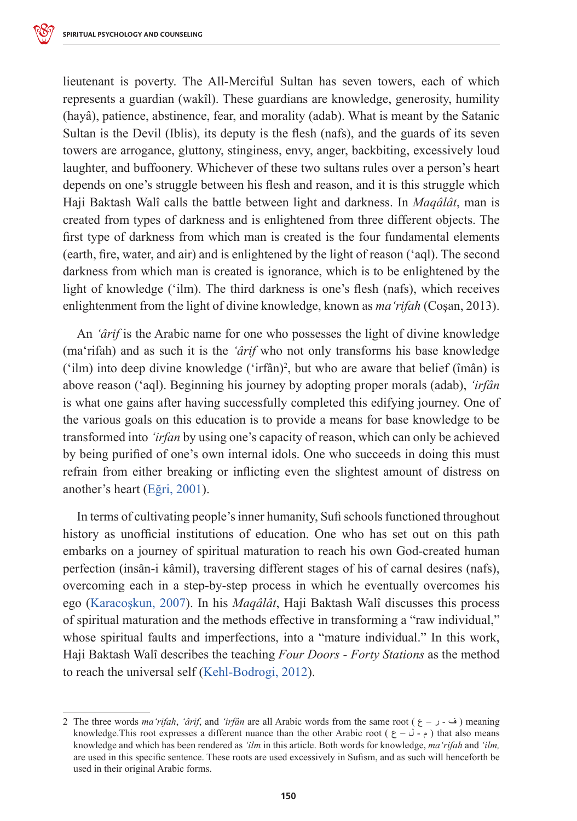lieutenant is poverty. The All-Merciful Sultan has seven towers, each of which represents a guardian (wakîl). These guardians are knowledge, generosity, humility (hayâ), patience, abstinence, fear, and morality (adab). What is meant by the Satanic Sultan is the Devil (Iblis), its deputy is the flesh (nafs), and the guards of its seven towers are arrogance, gluttony, stinginess, envy, anger, backbiting, excessively loud laughter, and buffoonery. Whichever of these two sultans rules over a person's heart depends on one's struggle between his flesh and reason, and it is this struggle which Haji Baktash Walî calls the battle between light and darkness. In *Maqâlât*, man is created from types of darkness and is enlightened from three different objects. The first type of darkness from which man is created is the four fundamental elements (earth, fire, water, and air) and is enlightened by the light of reason ('aql). The second darkness from which man is created is ignorance, which is to be enlightened by the light of knowledge ('ilm). The third darkness is one's flesh (nafs), which receives enlightenment from the light of divine knowledge, known as *ma'rifah* (Coşan, 2013).

An *'ârif* is the Arabic name for one who possesses the light of divine knowledge (ma'rifah) and as such it is the *'ârif* who not only transforms his base knowledge ('ilm) into deep divine knowledge ('irfân)<sup>2</sup> , but who are aware that belief (îmân) is above reason ('aql). Beginning his journey by adopting proper morals (adab), *'irfân* is what one gains after having successfully completed this edifying journey. One of the various goals on this education is to provide a means for base knowledge to be transformed into *'irfan* by using one's capacity of reason, which can only be achieved by being purified of one's own internal idols. One who succeeds in doing this must refrain from either breaking or inflicting even the slightest amount of distress on another's heart (Eğri, 2001).

In terms of cultivating people's inner humanity, Sufi schools functioned throughout history as unofficial institutions of education. One who has set out on this path embarks on a journey of spiritual maturation to reach his own God-created human perfection (insân-i kâmil), traversing different stages of his of carnal desires (nafs), overcoming each in a step-by-step process in which he eventually overcomes his ego (Karacoşkun, 2007). In his *Maqâlât*, Haji Baktash Walî discusses this process of spiritual maturation and the methods effective in transforming a "raw individual," whose spiritual faults and imperfections, into a "mature individual." In this work, Haji Baktash Walî describes the teaching *Four Doors - Forty Stations* as the method to reach the universal self (Kehl-Bodrogi, 2012).

<sup>2</sup> The three words *ma'rifah*, '*ârif*, and '*irfân* are all Arabic words from the same root ( $\epsilon$  –  $\epsilon$ ) meaning knowledge. This root expresses a different nuance than the other Arabic root ( $\epsilon$  –  $\delta$  -  $\epsilon$ ) that also means knowledge and which has been rendered as *'ilm* in this article. Both words for knowledge, *ma'rifah* and *'ilm,*  are used in this specific sentence. These roots are used excessively in Sufism, and as such will henceforth be used in their original Arabic forms.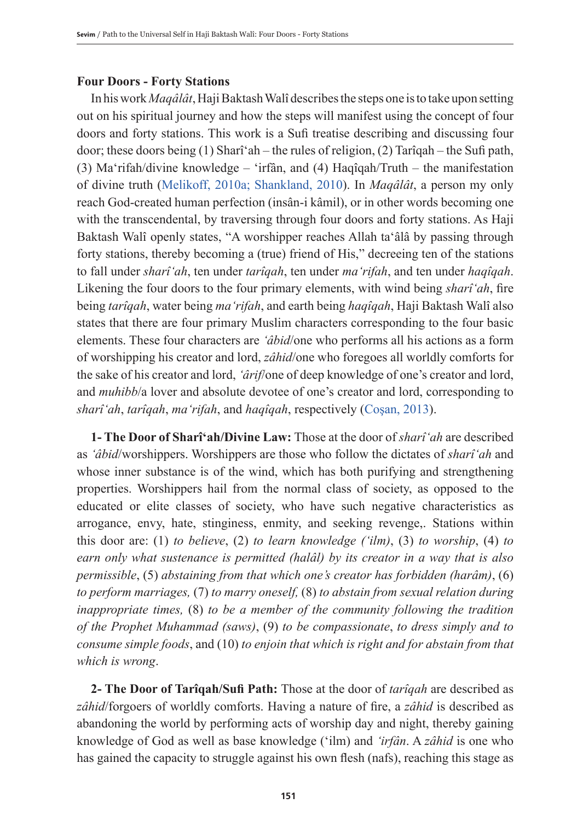### **Four Doors - Forty Stations**

In his work *Maqâlât*, Haji Baktash Walî describes the steps one is to take upon setting out on his spiritual journey and how the steps will manifest using the concept of four doors and forty stations. This work is a Sufi treatise describing and discussing four door; these doors being (1) Sharîʻah – the rules of religion, (2) Tarîqah – the Sufi path, (3) Ma'rifah/divine knowledge – 'irfân, and (4) Haqîqah/Truth – the manifestation of divine truth (Melikoff, 2010a; Shankland, 2010). In *Maqâlât*, a person my only reach God-created human perfection (insân-i kâmil), or in other words becoming one with the transcendental, by traversing through four doors and forty stations. As Haji Baktash Walî openly states, "A worshipper reaches Allah taʻâlâ by passing through forty stations, thereby becoming a (true) friend of His," decreeing ten of the stations to fall under *sharîʻah*, ten under *tarîqah*, ten under *maʻrifah*, and ten under *haqîqah*. Likening the four doors to the four primary elements, with wind being *sharîʻah*, fire being *tarîqah*, water being *maʻrifah*, and earth being *haqîqah*, Haji Baktash Walî also states that there are four primary Muslim characters corresponding to the four basic elements. These four characters are *'âbid*/one who performs all his actions as a form of worshipping his creator and lord, *zâhid*/one who foregoes all worldly comforts for the sake of his creator and lord, *'ârif*/one of deep knowledge of one's creator and lord, and *muhibb*/a lover and absolute devotee of one's creator and lord, corresponding to *sharîʻah*, *tarîqah*, *maʻrifah*, and *haqîqah*, respectively (Coşan, 2013).

**1- The Door of Sharîʻah/Divine Law:** Those at the door of *sharîʻah* are described as *ʻâbid*/worshippers. Worshippers are those who follow the dictates of *sharîʻah* and whose inner substance is of the wind, which has both purifying and strengthening properties. Worshippers hail from the normal class of society, as opposed to the educated or elite classes of society, who have such negative characteristics as arrogance, envy, hate, stinginess, enmity, and seeking revenge,. Stations within this door are: (1) *to believe*, (2) *to learn knowledge ('ilm)*, (3) *to worship*, (4) *to earn only what sustenance is permitted (halâl) by its creator in a way that is also permissible*, (5) *abstaining from that which one's creator has forbidden (harâm)*, (6) *to perform marriages,* (7) *to marry oneself,* (8) *to abstain from sexual relation during inappropriate times,* (8) *to be a member of the community following the tradition of the Prophet Muhammad (saws)*, (9) *to be compassionate*, *to dress simply and to consume simple foods*, and (10) *to enjoin that which is right and for abstain from that which is wrong*.

**2- The Door of Tarîqah/Sufi Path:** Those at the door of *tarîqah* are described as *zâhid*/forgoers of worldly comforts. Having a nature of fire, a *zâhid* is described as abandoning the world by performing acts of worship day and night, thereby gaining knowledge of God as well as base knowledge ('ilm) and *'irfân*. A *zâhid* is one who has gained the capacity to struggle against his own flesh (nafs), reaching this stage as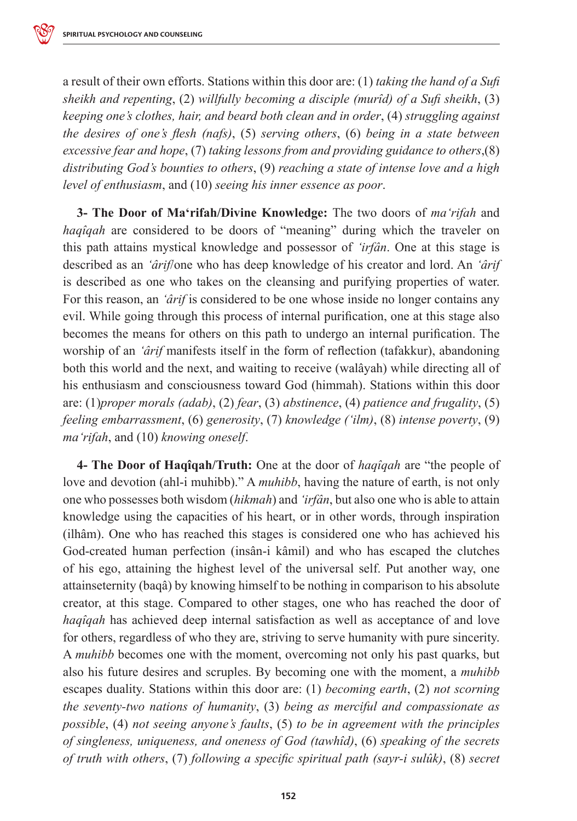a result of their own efforts. Stations within this door are: (1) *taking the hand of a Sufi sheikh and repenting*, (2) *willfully becoming a disciple (murîd) of a Sufi sheikh*, (3) *keeping one's clothes, hair, and beard both clean and in order*, (4) *struggling against the desires of one's flesh (nafs)*, (5) *serving others*, (6) *being in a state between excessive fear and hope*, (7) *taking lessons from and providing guidance to others*,(8) *distributing God's bounties to others*, (9) *reaching a state of intense love and a high level of enthusiasm*, and (10) *seeing his inner essence as poor*.

**3- The Door of Maʻrifah/Divine Knowledge:** The two doors of *maʻrifah* and *haqîqah* are considered to be doors of "meaning" during which the traveler on this path attains mystical knowledge and possessor of *'irfân*. One at this stage is described as an *'ârif*/one who has deep knowledge of his creator and lord. An *'ârif* is described as one who takes on the cleansing and purifying properties of water. For this reason, an *'ârif* is considered to be one whose inside no longer contains any evil. While going through this process of internal purification, one at this stage also becomes the means for others on this path to undergo an internal purification. The worship of an *'ârif* manifests itself in the form of reflection (tafakkur), abandoning both this world and the next, and waiting to receive (walâyah) while directing all of his enthusiasm and consciousness toward God (himmah). Stations within this door are: (1)*proper morals (adab)*, (2) *fear*, (3) *abstinence*, (4) *patience and frugality*, (5) *feeling embarrassment*, (6) *generosity*, (7) *knowledge ('ilm)*, (8) *intense poverty*, (9) *maʻrifah*, and (10) *knowing oneself*.

**4- The Door of Haqîqah/Truth:** One at the door of *haqîqah* are "the people of love and devotion (ahl-i muhibb)." A *muhibb*, having the nature of earth, is not only one who possesses both wisdom (*hikmah*) and *'irfân*, but also one who is able to attain knowledge using the capacities of his heart, or in other words, through inspiration (ilhâm). One who has reached this stages is considered one who has achieved his God-created human perfection (insân-i kâmil) and who has escaped the clutches of his ego, attaining the highest level of the universal self. Put another way, one attainseternity (baqâ) by knowing himself to be nothing in comparison to his absolute creator, at this stage. Compared to other stages, one who has reached the door of *haqîqah* has achieved deep internal satisfaction as well as acceptance of and love for others, regardless of who they are, striving to serve humanity with pure sincerity. A *muhibb* becomes one with the moment, overcoming not only his past quarks, but also his future desires and scruples. By becoming one with the moment, a *muhibb* escapes duality. Stations within this door are: (1) *becoming earth*, (2) *not scorning the seventy-two nations of humanity*, (3) *being as merciful and compassionate as possible*, (4) *not seeing anyone's faults*, (5) *to be in agreement with the principles of singleness, uniqueness, and oneness of God (tawhîd)*, (6) *speaking of the secrets of truth with others*, (7) *following a specific spiritual path (sayr-i sulûk)*, (8) *secret*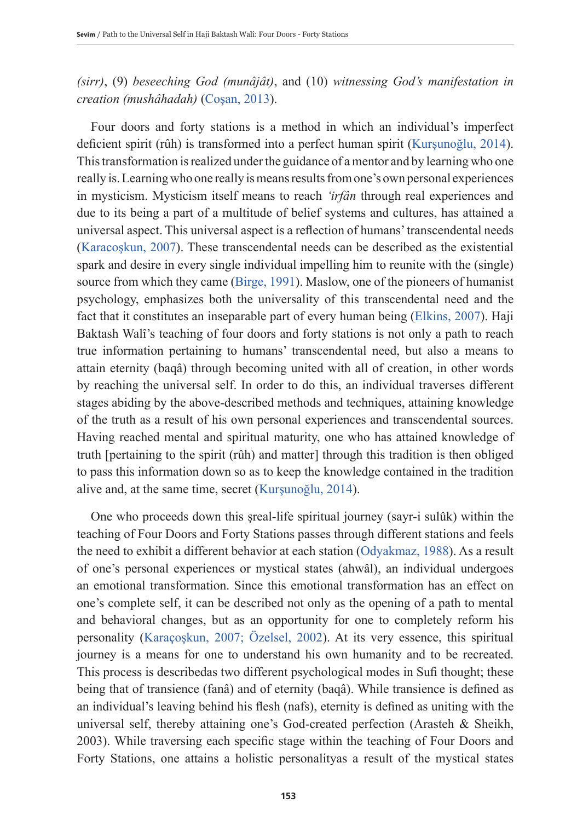*(sirr)*, (9) *beseeching God (munâjât)*, and (10) *witnessing God's manifestation in creation (mushâhadah)* (Coşan, 2013).

Four doors and forty stations is a method in which an individual's imperfect deficient spirit (rûh) is transformed into a perfect human spirit (Kurşunoğlu, 2014). This transformation is realized under the guidance of a mentor and by learning who one really is. Learning who one really is means results from one's own personal experiences in mysticism. Mysticism itself means to reach *'irfân* through real experiences and due to its being a part of a multitude of belief systems and cultures, has attained a universal aspect. This universal aspect is a reflection of humans' transcendental needs (Karacoşkun, 2007). These transcendental needs can be described as the existential spark and desire in every single individual impelling him to reunite with the (single) source from which they came (Birge, 1991). Maslow, one of the pioneers of humanist psychology, emphasizes both the universality of this transcendental need and the fact that it constitutes an inseparable part of every human being (Elkins, 2007). Haji Baktash Walî's teaching of four doors and forty stations is not only a path to reach true information pertaining to humans' transcendental need, but also a means to attain eternity (baqâ) through becoming united with all of creation, in other words by reaching the universal self. In order to do this, an individual traverses different stages abiding by the above-described methods and techniques, attaining knowledge of the truth as a result of his own personal experiences and transcendental sources. Having reached mental and spiritual maturity, one who has attained knowledge of truth [pertaining to the spirit (rûh) and matter] through this tradition is then obliged to pass this information down so as to keep the knowledge contained in the tradition alive and, at the same time, secret (Kurşunoğlu, 2014).

One who proceeds down this şreal-life spiritual journey (sayr-i sulûk) within the teaching of Four Doors and Forty Stations passes through different stations and feels the need to exhibit a different behavior at each station (Odyakmaz, 1988). As a result of one's personal experiences or mystical states (ahwâl), an individual undergoes an emotional transformation. Since this emotional transformation has an effect on one's complete self, it can be described not only as the opening of a path to mental and behavioral changes, but as an opportunity for one to completely reform his personality (Karaçoşkun, 2007; Özelsel, 2002). At its very essence, this spiritual journey is a means for one to understand his own humanity and to be recreated. This process is describedas two different psychological modes in Sufi thought; these being that of transience (fanâ) and of eternity (baqâ). While transience is defined as an individual's leaving behind his flesh (nafs), eternity is defined as uniting with the universal self, thereby attaining one's God-created perfection (Arasteh & Sheikh, 2003). While traversing each specific stage within the teaching of Four Doors and Forty Stations, one attains a holistic personalityas a result of the mystical states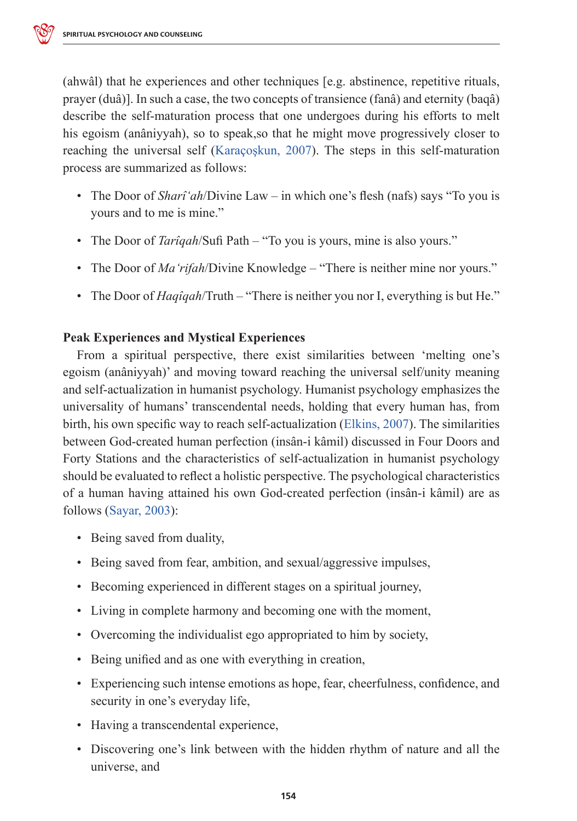(ahwâl) that he experiences and other techniques [e.g. abstinence, repetitive rituals, prayer (duâ)]. In such a case, the two concepts of transience (fanâ) and eternity (baqâ) describe the self-maturation process that one undergoes during his efforts to melt his egoism (anâniyyah), so to speak,so that he might move progressively closer to reaching the universal self (Karaçoşkun, 2007). The steps in this self-maturation process are summarized as follows:

- The Door of *Sharîʻah*/Divine Law in which one's flesh (nafs) says "To you is yours and to me is mine."
- The Door of *Tarîqah*/Sufi Path "To you is yours, mine is also yours."
- The Door of *Maʻrifah*/Divine Knowledge "There is neither mine nor yours."
- The Door of *Haqîqah*/Truth "There is neither you nor I, everything is but He."

## **Peak Experiences and Mystical Experiences**

From a spiritual perspective, there exist similarities between 'melting one's egoism (anâniyyah)' and moving toward reaching the universal self/unity meaning and self-actualization in humanist psychology. Humanist psychology emphasizes the universality of humans' transcendental needs, holding that every human has, from birth, his own specific way to reach self-actualization (Elkins, 2007). The similarities between God-created human perfection (insân-i kâmil) discussed in Four Doors and Forty Stations and the characteristics of self-actualization in humanist psychology should be evaluated to reflect a holistic perspective. The psychological characteristics of a human having attained his own God-created perfection (insân-i kâmil) are as follows (Sayar, 2003):

- Being saved from duality,
- Being saved from fear, ambition, and sexual/aggressive impulses,
- Becoming experienced in different stages on a spiritual journey,
- Living in complete harmony and becoming one with the moment,
- Overcoming the individualist ego appropriated to him by society,
- Being unified and as one with everything in creation,
- Experiencing such intense emotions as hope, fear, cheerfulness, confidence, and security in one's everyday life,
- Having a transcendental experience,
- Discovering one's link between with the hidden rhythm of nature and all the universe, and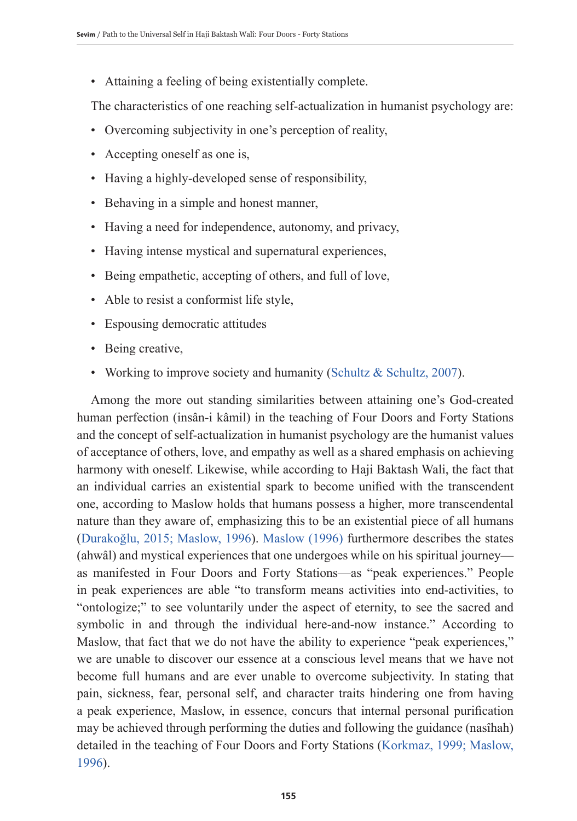• Attaining a feeling of being existentially complete.

The characteristics of one reaching self-actualization in humanist psychology are:

- Overcoming subjectivity in one's perception of reality,
- Accepting oneself as one is,
- Having a highly-developed sense of responsibility,
- Behaving in a simple and honest manner,
- Having a need for independence, autonomy, and privacy,
- Having intense mystical and supernatural experiences,
- Being empathetic, accepting of others, and full of love,
- Able to resist a conformist life style,
- Espousing democratic attitudes
- Being creative,
- Working to improve society and humanity (Schultz & Schultz, 2007).

Among the more out standing similarities between attaining one's God-created human perfection (insân-i kâmil) in the teaching of Four Doors and Forty Stations and the concept of self-actualization in humanist psychology are the humanist values of acceptance of others, love, and empathy as well as a shared emphasis on achieving harmony with oneself. Likewise, while according to Haji Baktash Wali, the fact that an individual carries an existential spark to become unified with the transcendent one, according to Maslow holds that humans possess a higher, more transcendental nature than they aware of, emphasizing this to be an existential piece of all humans (Durakoğlu, 2015; Maslow, 1996). Maslow (1996) furthermore describes the states (ahwâl) and mystical experiences that one undergoes while on his spiritual journey as manifested in Four Doors and Forty Stations—as "peak experiences." People in peak experiences are able "to transform means activities into end-activities, to "ontologize;" to see voluntarily under the aspect of eternity, to see the sacred and symbolic in and through the individual here-and-now instance." According to Maslow, that fact that we do not have the ability to experience "peak experiences," we are unable to discover our essence at a conscious level means that we have not become full humans and are ever unable to overcome subjectivity. In stating that pain, sickness, fear, personal self, and character traits hindering one from having a peak experience, Maslow, in essence, concurs that internal personal purification may be achieved through performing the duties and following the guidance (nasîhah) detailed in the teaching of Four Doors and Forty Stations (Korkmaz, 1999; Maslow, 1996).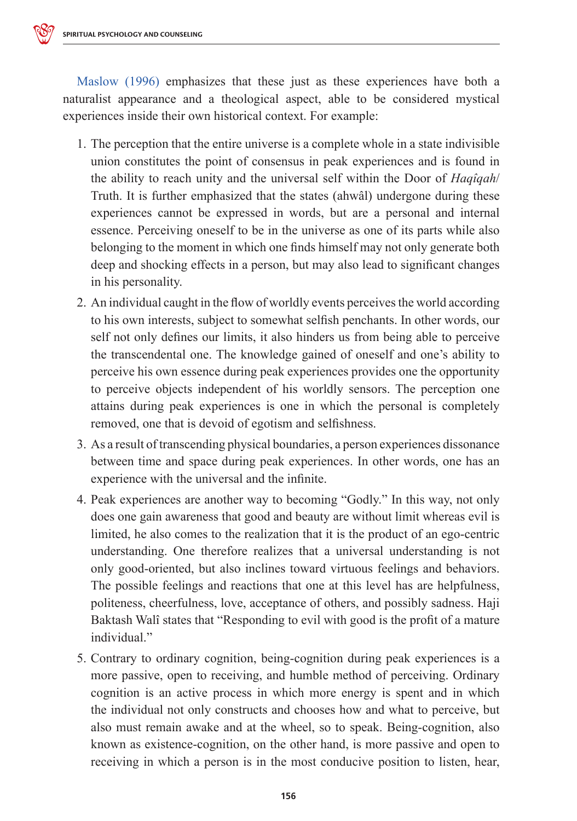Maslow (1996) emphasizes that these just as these experiences have both a naturalist appearance and a theological aspect, able to be considered mystical experiences inside their own historical context. For example:

- 1. The perception that the entire universe is a complete whole in a state indivisible union constitutes the point of consensus in peak experiences and is found in the ability to reach unity and the universal self within the Door of *Haqîqah*/ Truth. It is further emphasized that the states (ahwâl) undergone during these experiences cannot be expressed in words, but are a personal and internal essence. Perceiving oneself to be in the universe as one of its parts while also belonging to the moment in which one finds himself may not only generate both deep and shocking effects in a person, but may also lead to significant changes in his personality.
- 2. An individual caught in the flow of worldly events perceives the world according to his own interests, subject to somewhat selfish penchants. In other words, our self not only defines our limits, it also hinders us from being able to perceive the transcendental one. The knowledge gained of oneself and one's ability to perceive his own essence during peak experiences provides one the opportunity to perceive objects independent of his worldly sensors. The perception one attains during peak experiences is one in which the personal is completely removed, one that is devoid of egotism and selfishness.
- 3. As a result of transcending physical boundaries, a person experiences dissonance between time and space during peak experiences. In other words, one has an experience with the universal and the infinite.
- 4. Peak experiences are another way to becoming "Godly." In this way, not only does one gain awareness that good and beauty are without limit whereas evil is limited, he also comes to the realization that it is the product of an ego-centric understanding. One therefore realizes that a universal understanding is not only good-oriented, but also inclines toward virtuous feelings and behaviors. The possible feelings and reactions that one at this level has are helpfulness, politeness, cheerfulness, love, acceptance of others, and possibly sadness. Haji Baktash Walî states that "Responding to evil with good is the profit of a mature individual."
- 5. Contrary to ordinary cognition, being-cognition during peak experiences is a more passive, open to receiving, and humble method of perceiving. Ordinary cognition is an active process in which more energy is spent and in which the individual not only constructs and chooses how and what to perceive, but also must remain awake and at the wheel, so to speak. Being-cognition, also known as existence-cognition, on the other hand, is more passive and open to receiving in which a person is in the most conducive position to listen, hear,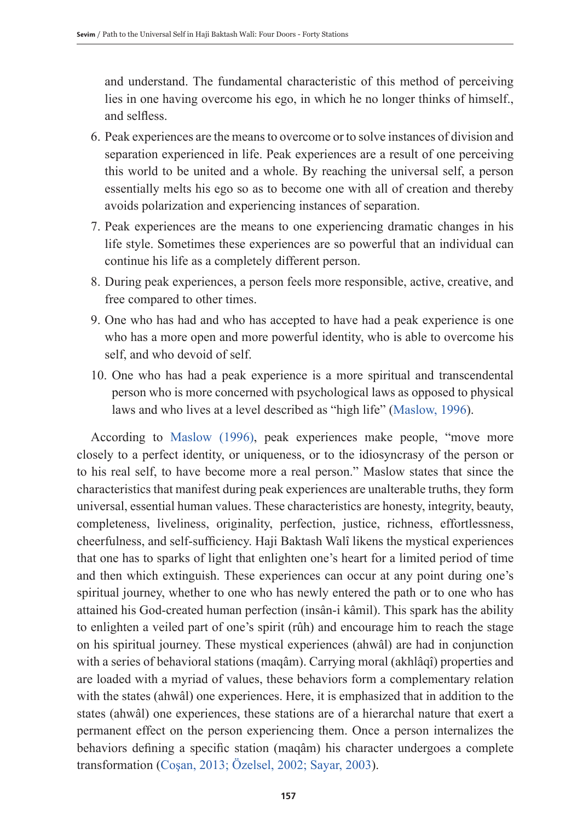and understand. The fundamental characteristic of this method of perceiving lies in one having overcome his ego, in which he no longer thinks of himself., and selfless.

- 6. Peak experiences are the means to overcome or to solve instances of division and separation experienced in life. Peak experiences are a result of one perceiving this world to be united and a whole. By reaching the universal self, a person essentially melts his ego so as to become one with all of creation and thereby avoids polarization and experiencing instances of separation.
- 7. Peak experiences are the means to one experiencing dramatic changes in his life style. Sometimes these experiences are so powerful that an individual can continue his life as a completely different person.
- 8. During peak experiences, a person feels more responsible, active, creative, and free compared to other times.
- 9. One who has had and who has accepted to have had a peak experience is one who has a more open and more powerful identity, who is able to overcome his self, and who devoid of self.
- 10. One who has had a peak experience is a more spiritual and transcendental person who is more concerned with psychological laws as opposed to physical laws and who lives at a level described as "high life" (Maslow, 1996).

According to Maslow (1996), peak experiences make people, "move more closely to a perfect identity, or uniqueness, or to the idiosyncrasy of the person or to his real self, to have become more a real person." Maslow states that since the characteristics that manifest during peak experiences are unalterable truths, they form universal, essential human values. These characteristics are honesty, integrity, beauty, completeness, liveliness, originality, perfection, justice, richness, effortlessness, cheerfulness, and self-sufficiency. Haji Baktash Walî likens the mystical experiences that one has to sparks of light that enlighten one's heart for a limited period of time and then which extinguish. These experiences can occur at any point during one's spiritual journey, whether to one who has newly entered the path or to one who has attained his God-created human perfection (insân-i kâmil). This spark has the ability to enlighten a veiled part of one's spirit (rûh) and encourage him to reach the stage on his spiritual journey. These mystical experiences (ahwâl) are had in conjunction with a series of behavioral stations (maqâm). Carrying moral (akhlâqî) properties and are loaded with a myriad of values, these behaviors form a complementary relation with the states (ahwâl) one experiences. Here, it is emphasized that in addition to the states (ahwâl) one experiences, these stations are of a hierarchal nature that exert a permanent effect on the person experiencing them. Once a person internalizes the behaviors defining a specific station (maqâm) his character undergoes a complete transformation (Coşan, 2013; Özelsel, 2002; Sayar, 2003).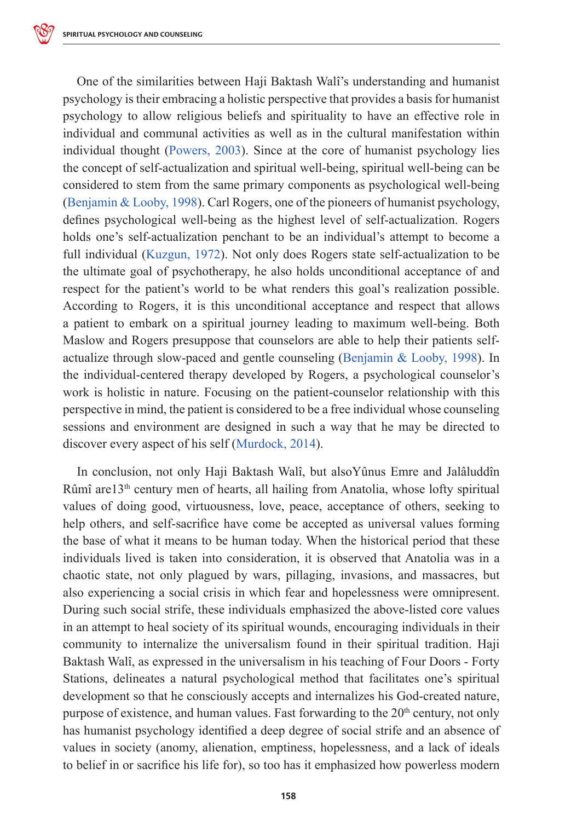One of the similarities between Haji Baktash Walî's understanding and humanist psychology is their embracing a holistic perspective that provides a basis for humanist psychology to allow religious beliefs and spirituality to have an effective role in individual and communal activities as well as in the cultural manifestation within individual thought (Powers, 2003). Since at the core of humanist psychology lies the concept of self-actualization and spiritual well-being, spiritual well-being can be considered to stem from the same primary components as psychological well-being (Benjamin & Looby, 1998). Carl Rogers, one of the pioneers of humanist psychology, defines psychological well-being as the highest level of self-actualization. Rogers holds one's self-actualization penchant to be an individual's attempt to become a full individual (Kuzgun, 1972). Not only does Rogers state self-actualization to be the ultimate goal of psychotherapy, he also holds unconditional acceptance of and respect for the patient's world to be what renders this goal's realization possible. According to Rogers, it is this unconditional acceptance and respect that allows a patient to embark on a spiritual journey leading to maximum well-being. Both Maslow and Rogers presuppose that counselors are able to help their patients selfactualize through slow-paced and gentle counseling (Benjamin & Looby, 1998). In the individual-centered therapy developed by Rogers, a psychological counselor's work is holistic in nature. Focusing on the patient-counselor relationship with this perspective in mind, the patient is considered to be a free individual whose counseling sessions and environment are designed in such a way that he may be directed to discover every aspect of his self (Murdock, 2014).

In conclusion, not only Haji Baktash Walî, but alsoYûnus Emre and Jalâluddîn Rûmî are13th century men of hearts, all hailing from Anatolia, whose lofty spiritual values of doing good, virtuousness, love, peace, acceptance of others, seeking to help others, and self-sacrifice have come be accepted as universal values forming the base of what it means to be human today. When the historical period that these individuals lived is taken into consideration, it is observed that Anatolia was in a chaotic state, not only plagued by wars, pillaging, invasions, and massacres, but also experiencing a social crisis in which fear and hopelessness were omnipresent. During such social strife, these individuals emphasized the above-listed core values in an attempt to heal society of its spiritual wounds, encouraging individuals in their community to internalize the universalism found in their spiritual tradition. Haji Baktash Walî, as expressed in the universalism in his teaching of Four Doors - Forty Stations, delineates a natural psychological method that facilitates one's spiritual development so that he consciously accepts and internalizes his God-created nature, purpose of existence, and human values. Fast forwarding to the  $20<sup>th</sup>$  century, not only has humanist psychology identified a deep degree of social strife and an absence of values in society (anomy, alienation, emptiness, hopelessness, and a lack of ideals to belief in or sacrifice his life for), so too has it emphasized how powerless modern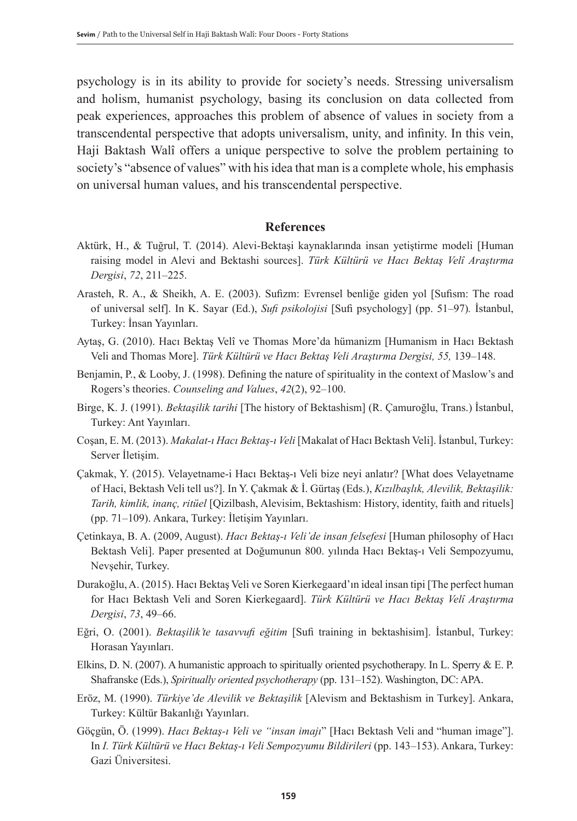psychology is in its ability to provide for society's needs. Stressing universalism and holism, humanist psychology, basing its conclusion on data collected from peak experiences, approaches this problem of absence of values in society from a transcendental perspective that adopts universalism, unity, and infinity. In this vein, Haji Baktash Walî offers a unique perspective to solve the problem pertaining to society's "absence of values" with his idea that man is a complete whole, his emphasis on universal human values, and his transcendental perspective.

#### **References**

- Aktürk, H., & Tuğrul, T. (2014). Alevi-Bektaşi kaynaklarında insan yetiştirme modeli [Human raising model in Alevi and Bektashi sources]. *Türk Kültürü ve Hacı Bektaş Velî Araştırma Dergisi*, *72*, 211–225.
- Arasteh, R. A., & Sheikh, A. E. (2003). Sufizm: Evrensel benliğe giden yol [Sufism: The road of universal self]. In K. Sayar (Ed.), *Sufi psikolojisi* [Sufi psychology] (pp. 51–97)*.* İstanbul, Turkey: İnsan Yayınları.
- Aytaş, G. (2010). Hacı Bektaş Velî ve Thomas More'da hümanizm [Humanism in Hacı Bektash Veli and Thomas More]. *Türk Kültürü ve Hacı Bektaş Veli Araştırma Dergisi, 55,* 139–148.
- Benjamin, P., & Looby, J. (1998). Defining the nature of spirituality in the context of Maslow's and Rogers's theories. *Counseling and Values*, *42*(2), 92–100.
- Birge, K. J. (1991). *Bektaşilik tarihi* [The history of Bektashism] (R. Çamuroğlu, Trans.) İstanbul, Turkey: Ant Yayınları.
- Coşan, E. M. (2013). *Makalat-ı Hacı Bektaş-ı Veli* [Makalat of Hacı Bektash Veli]. İstanbul, Turkey: Server İletişim.
- Çakmak, Y. (2015). Velayetname-i Hacı Bektaş-ı Veli bize neyi anlatır? [What does Velayetname of Haci, Bektash Veli tell us?]. In Y. Çakmak & İ. Gürtaş (Eds.), *Kızılbaşlık, Alevilik, Bektaşilik: Tarih, kimlik, inanç, ritüel* [Qizilbash, Alevisim, Bektashism: History, identity, faith and rituels] (pp. 71–109). Ankara, Turkey: İletişim Yayınları.
- Çetinkaya, B. A. (2009, August). *Hacı Bektaş-ı Veli'de insan felsefesi* [Human philosophy of Hacı Bektash Veli]. Paper presented at Doğumunun 800. yılında Hacı Bektaş-ı Veli Sempozyumu, Nevşehir, Turkey.
- Durakoğlu, A. (2015). Hacı Bektaş Veli ve Soren Kierkegaard'ın ideal insan tipi [The perfect human for Hacı Bektash Veli and Soren Kierkegaard]. *Türk Kültürü ve Hacı Bektaş Velî Araştırma Dergisi*, *73*, 49–66.
- Eğri, O. (2001). *Bektaşilik'te tasavvufi eğitim* [Sufi training in bektashisim]. İstanbul, Turkey: Horasan Yayınları.
- Elkins, D. N. (2007). A humanistic approach to spiritually oriented psychotherapy. In L. Sperry & E. P. Shafranske (Eds.), *Spiritually oriented psychotherapy* (pp. 131–152). Washington, DC: APA.
- Eröz, M. (1990). *Türkiye'de Alevilik ve Bektaşilik* [Alevism and Bektashism in Turkey]. Ankara, Turkey: Kültür Bakanlığı Yayınları.
- Göçgün, Ö. (1999). *Hacı Bektaş-ı Veli ve "insan imajı*" [Hacı Bektash Veli and "human image"]. In *I. Türk Kültürü ve Hacı Bektaş-ı Veli Sempozyumu Bildirileri* (pp. 143–153). Ankara, Turkey: Gazi Üniversitesi.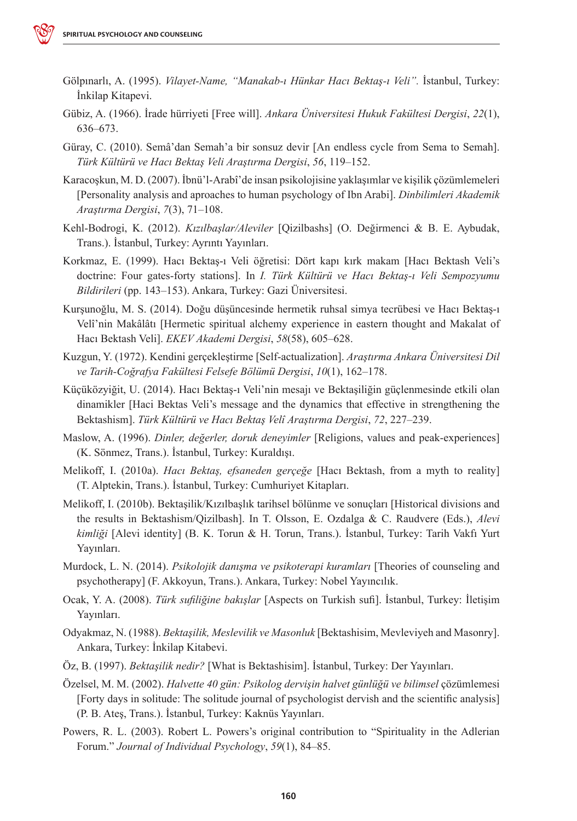- Gölpınarlı, A. (1995). *Vilayet-Name, "Manakab-ı Hünkar Hacı Bektaş-ı Veli".* İstanbul, Turkey: İnkilap Kitapevi.
- Gübiz, A. (1966). İrade hürriyeti [Free will]. *Ankara Üniversitesi Hukuk Fakültesi Dergisi*, *22*(1), 636–673.
- Güray, C. (2010). Semâ'dan Semah'a bir sonsuz devir [An endless cycle from Sema to Semah]. *Türk Kültürü ve Hacı Bektaş Veli Araştırma Dergisi*, *56*, 119–152.
- Karacoşkun, M. D. (2007). İbnü'l-Arabî'de insan psikolojisine yaklaşımlar ve kişilik çözümlemeleri [Personality analysis and aproaches to human psychology of Ibn Arabi]. *Dinbilimleri Akademik Araştırma Dergisi*, *7*(3), 71–108.
- Kehl-Bodrogi, K. (2012). *Kızılbaşlar/Aleviler* [Qizilbashs] (O. Değirmenci & B. E. Aybudak, Trans.). İstanbul, Turkey: Ayrıntı Yayınları.
- Korkmaz, E. (1999). Hacı Bektaş-ı Veli öğretisi: Dört kapı kırk makam [Hacı Bektash Veli's doctrine: Four gates-forty stations]. In *I. Türk Kültürü ve Hacı Bektaş-ı Veli Sempozyumu Bildirileri* (pp. 143–153). Ankara, Turkey: Gazi Üniversitesi.
- Kurşunoğlu, M. S. (2014). Doğu düşüncesinde hermetik ruhsal simya tecrübesi ve Hacı Bektaş-ı Velî'nin Makâlâtı [Hermetic spiritual alchemy experience in eastern thought and Makalat of Hacı Bektash Veli]. *EKEV Akademi Dergisi*, *58*(58), 605–628.
- Kuzgun, Y. (1972). Kendini gerçekleştirme [Self-actualization]. *Araştırma Ankara Üniversitesi Dil ve Tarih-Coğrafya Fakültesi Felsefe Bölümü Dergisi*, *10*(1), 162–178.
- Küçüközyiğit, U. (2014). Hacı Bektaş-ı Veli'nin mesajı ve Bektaşiliğin güçlenmesinde etkili olan dinamikler [Haci Bektas Veli's message and the dynamics that effective in strengthening the Bektashism]. *Türk Kültürü ve Hacı Bektaş Velî Araştırma Dergisi*, *72*, 227–239.
- Maslow, A. (1996). *Dinler, değerler, doruk deneyimler* [Religions, values and peak-experiences] (K. Sönmez, Trans.). İstanbul, Turkey: Kuraldışı.
- Melikoff, I. (2010a). *Hacı Bektaş, efsaneden gerçeğe* [Hacı Bektash, from a myth to reality] (T. Alptekin, Trans.). İstanbul, Turkey: Cumhuriyet Kitapları.
- Melikoff, I. (2010b). Bektaşilik/Kızılbaşlık tarihsel bölünme ve sonuçları [Historical divisions and the results in Bektashism/Qizilbash]. In T. Olsson, E. Ozdalga & C. Raudvere (Eds.), *Alevi kimliği* [Alevi identity] (B. K. Torun & H. Torun, Trans.). İstanbul, Turkey: Tarih Vakfı Yurt Yayınları.
- Murdock, L. N. (2014). *Psikolojik danışma ve psikoterapi kuramları* [Theories of counseling and psychotherapy] (F. Akkoyun, Trans.). Ankara, Turkey: Nobel Yayıncılık.
- Ocak, Y. A. (2008). *Türk sufiliğine bakışlar* [Aspects on Turkish sufi]. İstanbul, Turkey: İletişim Yayınları.
- Odyakmaz, N. (1988). *Bektaşilik, Meslevilik ve Masonluk* [Bektashisim, Mevleviyeh and Masonry]. Ankara, Turkey: İnkilap Kitabevi.
- Öz, B. (1997). *Bektaşilik nedir?* [What is Bektashisim]. İstanbul, Turkey: Der Yayınları.
- Özelsel, M. M. (2002). *Halvette 40 gün: Psikolog dervişin halvet günlüğü ve bilimsel* çözümlemesi [Forty days in solitude: The solitude journal of psychologist dervish and the scientific analysis] (P. B. Ateş, Trans.). İstanbul, Turkey: Kaknüs Yayınları.
- Powers, R. L. (2003). Robert L. Powers's original contribution to "Spirituality in the Adlerian Forum." *Journal of Individual Psychology*, *59*(1), 84–85.